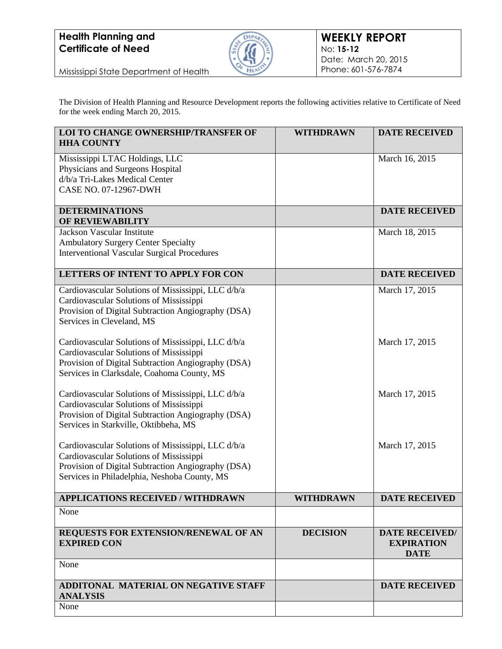

Mississippi State Department of Health

The Division of Health Planning and Resource Development reports the following activities relative to Certificate of Need for the week ending March 20, 2015.

| <b>LOI TO CHANGE OWNERSHIP/TRANSFER OF</b><br><b>HHA COUNTY</b>                                                                                                                                     | <b>WITHDRAWN</b> | <b>DATE RECEIVED</b>                                      |
|-----------------------------------------------------------------------------------------------------------------------------------------------------------------------------------------------------|------------------|-----------------------------------------------------------|
| Mississippi LTAC Holdings, LLC<br>Physicians and Surgeons Hospital<br>d/b/a Tri-Lakes Medical Center<br>CASE NO. 07-12967-DWH                                                                       |                  | March 16, 2015                                            |
| <b>DETERMINATIONS</b><br>OF REVIEWABILITY                                                                                                                                                           |                  | <b>DATE RECEIVED</b>                                      |
| Jackson Vascular Institute<br><b>Ambulatory Surgery Center Specialty</b><br><b>Interventional Vascular Surgical Procedures</b>                                                                      |                  | March 18, 2015                                            |
| <b>LETTERS OF INTENT TO APPLY FOR CON</b>                                                                                                                                                           |                  | <b>DATE RECEIVED</b>                                      |
| Cardiovascular Solutions of Mississippi, LLC d/b/a<br>Cardiovascular Solutions of Mississippi<br>Provision of Digital Subtraction Angiography (DSA)<br>Services in Cleveland, MS                    |                  | March 17, 2015                                            |
| Cardiovascular Solutions of Mississippi, LLC d/b/a<br>Cardiovascular Solutions of Mississippi<br>Provision of Digital Subtraction Angiography (DSA)<br>Services in Clarksdale, Coahoma County, MS   |                  | March 17, 2015                                            |
| Cardiovascular Solutions of Mississippi, LLC d/b/a<br>Cardiovascular Solutions of Mississippi<br>Provision of Digital Subtraction Angiography (DSA)<br>Services in Starkville, Oktibbeha, MS        |                  | March 17, 2015                                            |
| Cardiovascular Solutions of Mississippi, LLC d/b/a<br>Cardiovascular Solutions of Mississippi<br>Provision of Digital Subtraction Angiography (DSA)<br>Services in Philadelphia, Neshoba County, MS |                  | March 17, 2015                                            |
| <b>APPLICATIONS RECEIVED / WITHDRAWN</b>                                                                                                                                                            | <b>WITHDRAWN</b> | <b>DATE RECEIVED</b>                                      |
| None                                                                                                                                                                                                |                  |                                                           |
| REQUESTS FOR EXTENSION/RENEWAL OF AN<br><b>EXPIRED CON</b>                                                                                                                                          | <b>DECISION</b>  | <b>DATE RECEIVED/</b><br><b>EXPIRATION</b><br><b>DATE</b> |
| None                                                                                                                                                                                                |                  |                                                           |
| ADDITONAL MATERIAL ON NEGATIVE STAFF<br><b>ANALYSIS</b>                                                                                                                                             |                  | <b>DATE RECEIVED</b>                                      |
| None                                                                                                                                                                                                |                  |                                                           |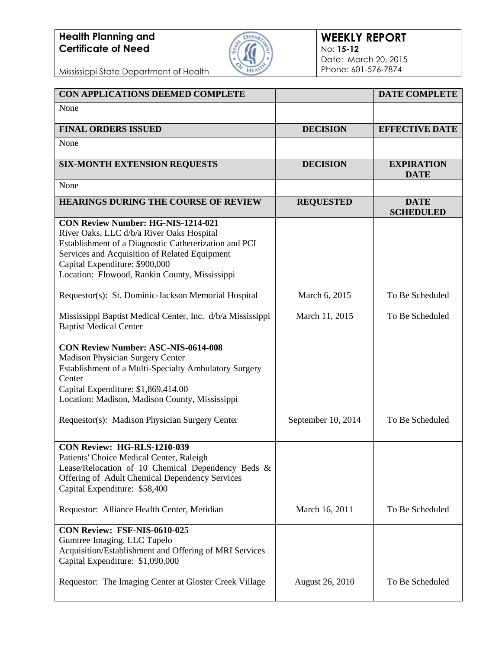

#### **WEEKLY REPORT** No: **15-12** Date: March 20, 2015 Phone: 601-576-7874

Mississippi State Department of Health

| CON APPLICATIONS DEEMED COMPLETE                                                                                                                                                                                                                                                    |                        | <b>DATE COMPLETE</b>             |
|-------------------------------------------------------------------------------------------------------------------------------------------------------------------------------------------------------------------------------------------------------------------------------------|------------------------|----------------------------------|
| None                                                                                                                                                                                                                                                                                |                        |                                  |
| <b>FINAL ORDERS ISSUED</b>                                                                                                                                                                                                                                                          | <b>DECISION</b>        | <b>EFFECTIVE DATE</b>            |
| None                                                                                                                                                                                                                                                                                |                        |                                  |
| <b>SIX-MONTH EXTENSION REQUESTS</b>                                                                                                                                                                                                                                                 | <b>DECISION</b>        | <b>EXPIRATION</b><br><b>DATE</b> |
| None                                                                                                                                                                                                                                                                                |                        |                                  |
| <b>HEARINGS DURING THE COURSE OF REVIEW</b>                                                                                                                                                                                                                                         | <b>REQUESTED</b>       | <b>DATE</b><br><b>SCHEDULED</b>  |
| <b>CON Review Number: HG-NIS-1214-021</b><br>River Oaks, LLC d/b/a River Oaks Hospital<br>Establishment of a Diagnostic Catheterization and PCI<br>Services and Acquisition of Related Equipment<br>Capital Expenditure: \$900,000<br>Location: Flowood, Rankin County, Mississippi |                        |                                  |
| Requestor(s): St. Dominic-Jackson Memorial Hospital                                                                                                                                                                                                                                 | March 6, 2015          | To Be Scheduled                  |
| Mississippi Baptist Medical Center, Inc. d/b/a Mississippi<br><b>Baptist Medical Center</b>                                                                                                                                                                                         | March 11, 2015         | To Be Scheduled                  |
| <b>CON Review Number: ASC-NIS-0614-008</b><br>Madison Physician Surgery Center<br>Establishment of a Multi-Specialty Ambulatory Surgery<br>Center<br>Capital Expenditure: \$1,869,414.00<br>Location: Madison, Madison County, Mississippi                                          |                        |                                  |
| Requestor(s): Madison Physician Surgery Center                                                                                                                                                                                                                                      | September 10, 2014     | To Be Scheduled                  |
| CON Review: HG-RLS-1210-039<br>Patients' Choice Medical Center, Raleigh<br>Lease/Relocation of 10 Chemical Dependency Beds &<br>Offering of Adult Chemical Dependency Services<br>Capital Expenditure: \$58,400                                                                     |                        |                                  |
| Requestor: Alliance Health Center, Meridian                                                                                                                                                                                                                                         | March 16, 2011         | To Be Scheduled                  |
| CON Review: FSF-NIS-0610-025<br>Gumtree Imaging, LLC Tupelo<br>Acquisition/Establishment and Offering of MRI Services<br>Capital Expenditure: \$1,090,000                                                                                                                           |                        |                                  |
| Requestor: The Imaging Center at Gloster Creek Village                                                                                                                                                                                                                              | <b>August 26, 2010</b> | To Be Scheduled                  |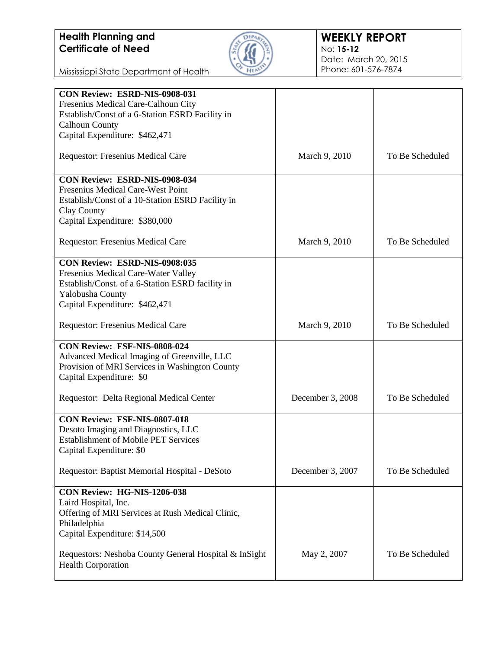

#### **WEEKLY REPORT** No: **15-12** Date: March 20, 2015 Phone: 601-576-7874

Mississippi State Department of Health

| CON Review: ESRD-NIS-0908-031                         |                  |                 |
|-------------------------------------------------------|------------------|-----------------|
| Fresenius Medical Care-Calhoun City                   |                  |                 |
| Establish/Const of a 6-Station ESRD Facility in       |                  |                 |
| <b>Calhoun County</b>                                 |                  |                 |
|                                                       |                  |                 |
| Capital Expenditure: \$462,471                        |                  |                 |
| <b>Requestor: Fresenius Medical Care</b>              | March 9, 2010    | To Be Scheduled |
| <b>CON Review: ESRD-NIS-0908-034</b>                  |                  |                 |
| Fresenius Medical Care-West Point                     |                  |                 |
| Establish/Const of a 10-Station ESRD Facility in      |                  |                 |
| Clay County                                           |                  |                 |
| Capital Expenditure: \$380,000                        |                  |                 |
|                                                       |                  |                 |
| <b>Requestor: Fresenius Medical Care</b>              | March 9, 2010    | To Be Scheduled |
| <b>CON Review: ESRD-NIS-0908:035</b>                  |                  |                 |
| Fresenius Medical Care-Water Valley                   |                  |                 |
| Establish/Const. of a 6-Station ESRD facility in      |                  |                 |
| Yalobusha County                                      |                  |                 |
| Capital Expenditure: \$462,471                        |                  |                 |
|                                                       |                  |                 |
| <b>Requestor: Fresenius Medical Care</b>              | March 9, 2010    | To Be Scheduled |
| CON Review: FSF-NIS-0808-024                          |                  |                 |
| Advanced Medical Imaging of Greenville, LLC           |                  |                 |
| Provision of MRI Services in Washington County        |                  |                 |
| Capital Expenditure: \$0                              |                  |                 |
|                                                       |                  |                 |
| Requestor: Delta Regional Medical Center              | December 3, 2008 | To Be Scheduled |
|                                                       |                  |                 |
| CON Review: FSF-NIS-0807-018                          |                  |                 |
| Desoto Imaging and Diagnostics, LLC                   |                  |                 |
| <b>Establishment of Mobile PET Services</b>           |                  |                 |
| Capital Expenditure: \$0                              |                  |                 |
|                                                       |                  |                 |
| Requestor: Baptist Memorial Hospital - DeSoto         | December 3, 2007 | To Be Scheduled |
|                                                       |                  |                 |
| CON Review: HG-NIS-1206-038                           |                  |                 |
| Laird Hospital, Inc.                                  |                  |                 |
| Offering of MRI Services at Rush Medical Clinic,      |                  |                 |
| Philadelphia                                          |                  |                 |
| Capital Expenditure: \$14,500                         |                  |                 |
|                                                       |                  |                 |
| Requestors: Neshoba County General Hospital & InSight | May 2, 2007      | To Be Scheduled |
| <b>Health Corporation</b>                             |                  |                 |
|                                                       |                  |                 |